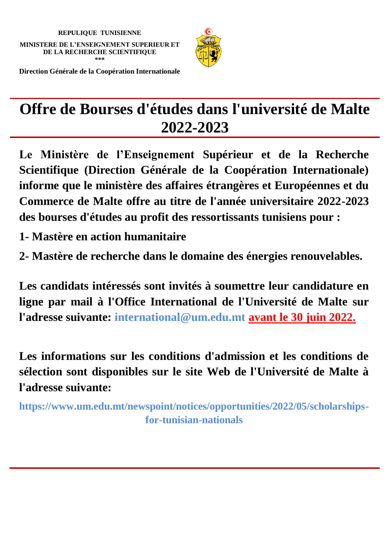

**Direction Générale de la Coopération Internationale**

# **Offre de Bourses d'études dans l'université de Malte 2022-2023**

**Le Ministère de l'Enseignement Supérieur et de la Recherche Scientifique (Direction Générale de la Coopération Internationale) informe que le ministère des affaires étrangères et Européennes et du Commerce de Malte offre au titre de l'année universitaire 2022-2023 des bourses d'études au profit des ressortissants tunisiens pour :**

**1- Mastère en action humanitaire** 

**2- Mastère de recherche dans le domaine des énergies renouvelables.** 

**Les candidats intéressés sont invités à soumettre leur candidature en ligne par mail à l'Office International de l'Université de Malte sur l'adresse suivante: international@um.edu.mt avant le 30 juin 2022.**

**Les informations sur les conditions d'admission et les conditions de sélection sont disponibles sur le site Web de l'Université de Malte à l'adresse suivante:**

**https://www.um.edu.mt/newspoint/notices/opportunities/2022/05/scholarshipsfor-tunisian-nationals**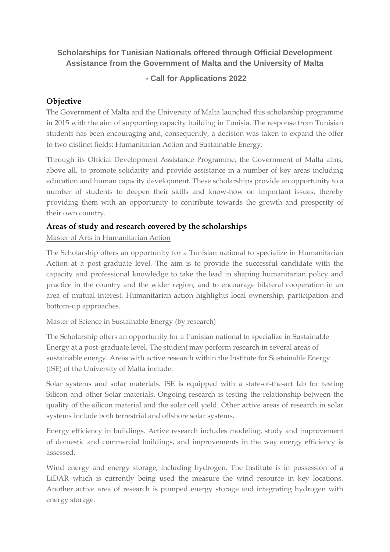## **Scholarships for Tunisian Nationals offered through Official Development Assistance from the Government of Malta and the University of Malta**

## **- Call for Applications 2022**

## **Objective**

The Government of Malta and the University of Malta launched this scholarship programme in 2015 with the aim of supporting capacity building in Tunisia. The response from Tunisian students has been encouraging and, consequently, a decision was taken to expand the offer to two distinct fields: Humanitarian Action and Sustainable Energy.

Through its Official Development Assistance Programme, the Government of Malta aims, above all, to promote solidarity and provide assistance in a number of key areas including education and human capacity development. These scholarships provide an opportunity to a number of students to deepen their skills and know-how on important issues, thereby providing them with an opportunity to contribute towards the growth and prosperity of their own country.

#### **Areas of study and research covered by the scholarships**

#### Master of Arts in Humanitarian Action

The Scholarship offers an opportunity for a Tunisian national to specialize in Humanitarian Action at a post-graduate level. The aim is to provide the successful candidate with the capacity and professional knowledge to take the lead in shaping humanitarian policy and practice in the country and the wider region, and to encourage bilateral cooperation in an area of mutual interest. Humanitarian action highlights local ownership, participation and bottom-up approaches.

#### Master of Science in Sustainable Energy (by research)

The Scholarship offers an opportunity for a Tunisian national to specialize in Sustainable Energy at a post-graduate level. The student may perform research in several areas of sustainable energy. Areas with active research within the Institute for Sustainable Energy (ISE) of the University of Malta include:

Solar systems and solar materials. ISE is equipped with a state-of-the-art lab for testing Silicon and other Solar materials. Ongoing research is testing the relationship between the quality of the silicon material and the solar cell yield. Other active areas of research in solar systems include both terrestrial and offshore solar systems.

Energy efficiency in buildings. Active research includes modeling, study and improvement of domestic and commercial buildings, and improvements in the way energy efficiency is assessed.

Wind energy and energy storage, including hydrogen. The Institute is in possession of a LiDAR which is currently being used the measure the wind resource in key locations. Another active area of research is pumped energy storage and integrating hydrogen with energy storage.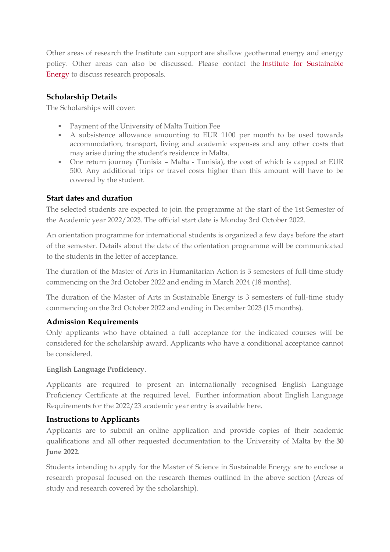Other areas of research the Institute can support are shallow geothermal energy and energy policy. Other areas can also be discussed. Please contact the [Institute for Sustainable](mailto:ise@um.edu.mt)  [Energy](mailto:ise@um.edu.mt) to discuss research proposals.

## **Scholarship Details**

The Scholarships will cover:

- Payment of the University of Malta Tuition Fee
- A subsistence allowance amounting to EUR 1100 per month to be used towards accommodation, transport, living and academic expenses and any other costs that may arise during the student's residence in Malta.
- One return journey (Tunisia Malta Tunisia), the cost of which is capped at EUR 500. Any additional trips or travel costs higher than this amount will have to be covered by the student.

#### **Start dates and duration**

The selected students are expected to join the programme at the start of the 1st Semester of the Academic year 2022/2023. The official start date is Monday 3rd October 2022.

An orientation programme for international students is organized a few days before the start of the semester. Details about the date of the orientation programme will be communicated to the students in the letter of acceptance.

The duration of the Master of Arts in Humanitarian Action is 3 semesters of full-time study commencing on the 3rd October 2022 and ending in March 2024 (18 months).

The duration of the Master of Arts in Sustainable Energy is 3 semesters of full-time study commencing on the 3rd October 2022 and ending in December 2023 (15 months).

#### **Admission Requirements**

Only applicants who have obtained a full acceptance for the indicated courses will be considered for the scholarship award. Applicants who have a conditional acceptance cannot be considered.

#### **English Language Proficiency**.

Applicants are required to present an internationally recognised English Language Proficiency Certificate at the required level. Further information about English Language Requirements for the 2022/23 academic year entry is available [here.](https://www.um.edu.mt/study/admissionsadvice/international/englishlanguagerequirements/)

#### **Instructions to Applicants**

Applicants are to submit an online application and provide copies of their academic qualifications and all other requested documentation to the University of Malta by the **30 June 2022**.

Students intending to apply for the Master of Science in Sustainable Energy are to enclose a research proposal focused on the research themes outlined in the above section (Areas of study and research covered by the scholarship).